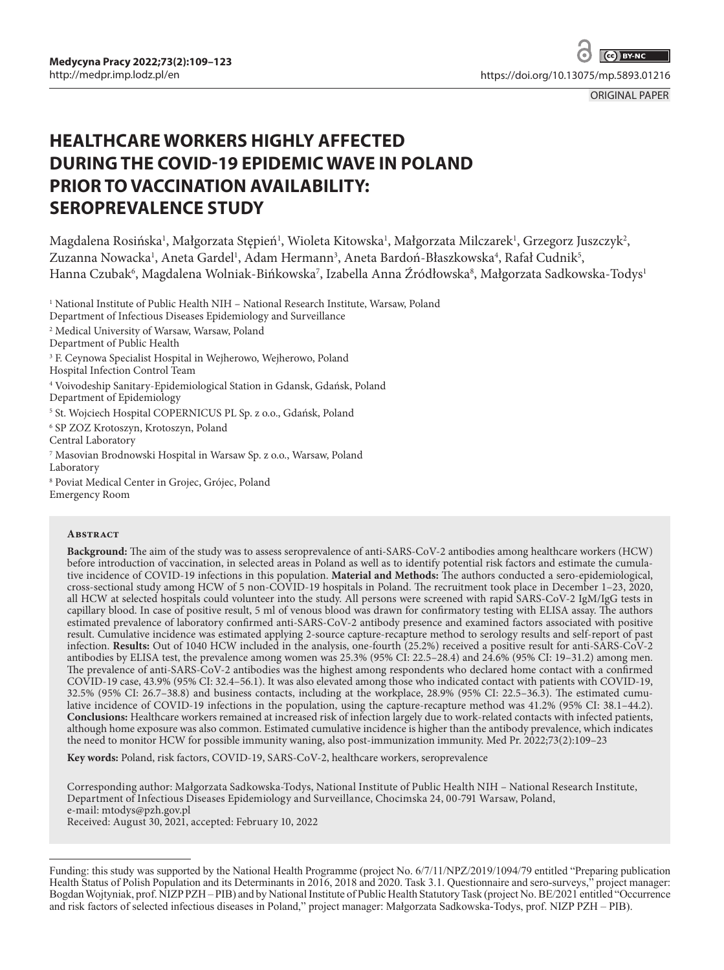[https://doi.org/10.13075/mp.5893.01216](https://doi.org/10.13075/mp.5893.00900)

ORIGINAL PAPER

# **HEALTHCARE WORKERS HIGHLY AFFECTED DURING THE COVID-19 EPIDEMIC WAVE IN POLAND PRIOR TO VACCINATION AVAILABILITY: SEROPREVALENCE STUDY**

Magdalena Rosińska<sup>1</sup>, Małgorzata Stępień<sup>1</sup>, Wioleta Kitowska<sup>1</sup>, Małgorzata Milczarek<sup>1</sup>, Grzegorz Juszczyk<sup>2</sup>, Zuzanna Nowacka<sup>1</sup>, Aneta Gardel<sup>1</sup>, Adam Hermann<sup>3</sup>, Aneta Bardoń-Błaszkowska<sup>4</sup>, Rafał Cudnik<sup>5</sup>, Hanna Czubak', Magdalena Wolniak-Bińkowska', Izabella Anna Źródłowska', Małgorzata Sadkowska-Todys<sup>1</sup>

<sup>1</sup> National Institute of Public Health NIH – National Research Institute, Warsaw, Poland

Department of Infectious Diseases Epidemiology and Surveillance

2 Medical University of Warsaw, Warsaw, Poland

Department of Public Health

3 F. Ceynowa Specialist Hospital in Wejherowo, Wejherowo, Poland

Hospital Infection Control Team

4 Voivodeship Sanitary-Epidemiological Station in Gdansk, Gdańsk, Poland

Department of Epidemiology

5 St. Wojciech Hospital COPERNICUS PL Sp. z o.o., Gdańsk, Poland

6 SP ZOZ Krotoszyn, Krotoszyn, Poland

Central Laboratory

7 Masovian Brodnowski Hospital in Warsaw Sp. z o.o., Warsaw, Poland Laboratory

8 Poviat Medical Center in Grojec, Grójec, Poland Emergency Room

#### **ABSTRACT**

**Background:** The aim of the study was to assess seroprevalence of anti-SARS-CoV-2 antibodies among healthcare workers (HCW) before introduction of vaccination, in selected areas in Poland as well as to identify potential risk factors and estimate the cumulative incidence of COVID-19 infections in this population. **Material and Methods:** The authors conducted a sero-epidemiological, cross-sectional study among HCW of 5 non-COVID-19 hospitals in Poland. The recruitment took place in December 1–23, 2020, all HCW at selected hospitals could volunteer into the study. All persons were screened with rapid SARS-CoV-2 IgM/IgG tests in capillary blood. In case of positive result, 5 ml of venous blood was drawn for confirmatory testing with ELISA assay. The authors estimated prevalence of laboratory confirmed anti-SARS-CoV-2 antibody presence and examined factors associated with positive result. Cumulative incidence was estimated applying 2-source capture-recapture method to serology results and self-report of past infection. **Results:** Out of 1040 HCW included in the analysis, one-fourth (25.2%) received a positive result for anti-SARS-CoV-2 antibodies by ELISA test, the prevalence among women was  $25.3\%$  (95% CI: 22.5–28.4) and  $24.6\%$  (95% CI: 19–31.2) among men. The prevalence of anti-SARS-CoV-2 antibodies was the highest among respondents who declared home contact with a confirmed COVID-19 case, 43.9% (95% CI: 32.4–56.1). It was also elevated among those who indicated contact with patients with COVID-19, 32.5% (95% CI: 26.7–38.8) and business contacts, including at the workplace, 28.9% (95% CI: 22.5–36.3). The estimated cumulative incidence of COVID-19 infections in the population, using the capture-recapture method was 41.2% (95% CI: 38.1–44.2). **Conclusions:** Healthcare workers remained at increased risk of infection largely due to work-related contacts with infected patients, although home exposure was also common. Estimated cumulative incidence is higher than the antibody prevalence, which indicates the need to monitor HCW for possible immunity waning, also post-immunization immunity. Med Pr. 2022;73(2):109–23

**Key words:** Poland, risk factors, COVID-19, SARS-CoV-2, healthcare workers, seroprevalence

Corresponding author: Małgorzata Sadkowska-Todys, National Institute of Public Health NIH – National Research Institute, Department of Infectious Diseases Epidemiology and Surveillance, Chocimska 24, 00-791 Warsaw, Poland, e-mail: mtodys@pzh.gov.pl Received: August 30, 2021, accepted: February 10, 2022

Funding: this study was supported by the National Health Programme (project No. 6/7/11/NPZ/2019/1094/79 entitled "Preparing publication Health Status of Polish Population and its Determinants in 2016, 2018 and 2020. Task 3.1. Questionnaire and sero-surveys," project manager: Bogdan Wojtyniak, prof. NIZP PZH – PIB) and by National Institute of Public Health Statutory Task (project No. BE/2021 entitled "Occurrence and risk factors of selected infectious diseases in Poland," project manager: Małgorzata Sadkowska-Todys, prof. NIZP PZH – PIB).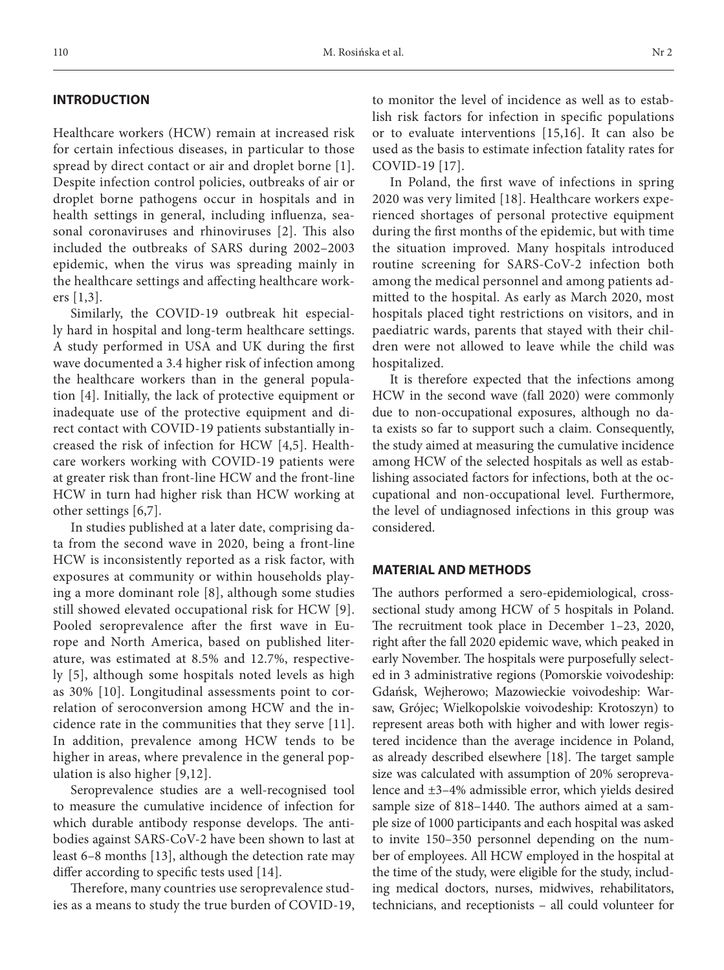### **INTRODUCTION**

Healthcare workers (HCW) remain at increased risk for certain infectious diseases, in particular to those spread by direct contact or air and droplet borne [1]. Despite infection control policies, outbreaks of air or droplet borne pathogens occur in hospitals and in health settings in general, including influenza, seasonal coronaviruses and rhinoviruses [2]. This also included the outbreaks of SARS during 2002–2003 epidemic, when the virus was spreading mainly in the healthcare settings and affecting healthcare workers [1,3].

Similarly, the COVID-19 outbreak hit especially hard in hospital and long-term healthcare settings. A study performed in USA and UK during the first wave documented a 3.4 higher risk of infection among the healthcare workers than in the general population [4]. Initially, the lack of protective equipment or inadequate use of the protective equipment and direct contact with COVID-19 patients substantially increased the risk of infection for HCW [4,5]. Healthcare workers working with COVID-19 patients were at greater risk than front-line HCW and the front-line HCW in turn had higher risk than HCW working at other settings [6,7].

In studies published at a later date, comprising data from the second wave in 2020, being a front-line HCW is inconsistently reported as a risk factor, with exposures at community or within households playing a more dominant role [8], although some studies still showed elevated occupational risk for HCW [9]. Pooled seroprevalence after the first wave in Europe and North America, based on published literature, was estimated at 8.5% and 12.7%, respectively [5], although some hospitals noted levels as high as 30% [10]. Longitudinal assessments point to correlation of seroconversion among HCW and the incidence rate in the communities that they serve [11]. In addition, prevalence among HCW tends to be higher in areas, where prevalence in the general population is also higher [9,12].

Seroprevalence studies are a well-recognised tool to measure the cumulative incidence of infection for which durable antibody response develops. The antibodies against SARS-CoV-2 have been shown to last at least 6–8 months [13], although the detection rate may differ according to specific tests used [14].

Therefore, many countries use seroprevalence studies as a means to study the true burden of COVID-19, to monitor the level of incidence as well as to establish risk factors for infection in specific populations or to evaluate interventions [15,16]. It can also be used as the basis to estimate infection fatality rates for COVID-19 [17].

In Poland, the first wave of infections in spring 2020 was very limited [18]. Healthcare workers experienced shortages of personal protective equipment during the first months of the epidemic, but with time the situation improved. Many hospitals introduced routine screening for SARS-CoV-2 infection both among the medical personnel and among patients admitted to the hospital. As early as March 2020, most hospitals placed tight restrictions on visitors, and in paediatric wards, parents that stayed with their children were not allowed to leave while the child was hospitalized.

It is therefore expected that the infections among HCW in the second wave (fall 2020) were commonly due to non-occupational exposures, although no data exists so far to support such a claim. Consequently, the study aimed at measuring the cumulative incidence among HCW of the selected hospitals as well as establishing associated factors for infections, both at the occupational and non-occupational level. Furthermore, the level of undiagnosed infections in this group was considered.

### **MATERIAL AND METHODS**

The authors performed a sero-epidemiological, crosssectional study among HCW of 5 hospitals in Poland. The recruitment took place in December 1–23, 2020, right after the fall 2020 epidemic wave, which peaked in early November. The hospitals were purposefully selected in 3 administrative regions (Pomorskie voivodeship: Gdańsk, Wejherowo; Mazowieckie voivodeship: Warsaw, Grójec; Wielkopolskie voivodeship: Krotoszyn) to represent areas both with higher and with lower registered incidence than the average incidence in Poland, as already described elsewhere [18]. The target sample size was calculated with assumption of 20% seroprevalence and ±3–4% admissible error, which yields desired sample size of 818–1440. The authors aimed at a sample size of 1000 participants and each hospital was asked to invite 150–350 personnel depending on the number of employees. All HCW employed in the hospital at the time of the study, were eligible for the study, including medical doctors, nurses, midwives, rehabilitators, technicians, and receptionists – all could volunteer for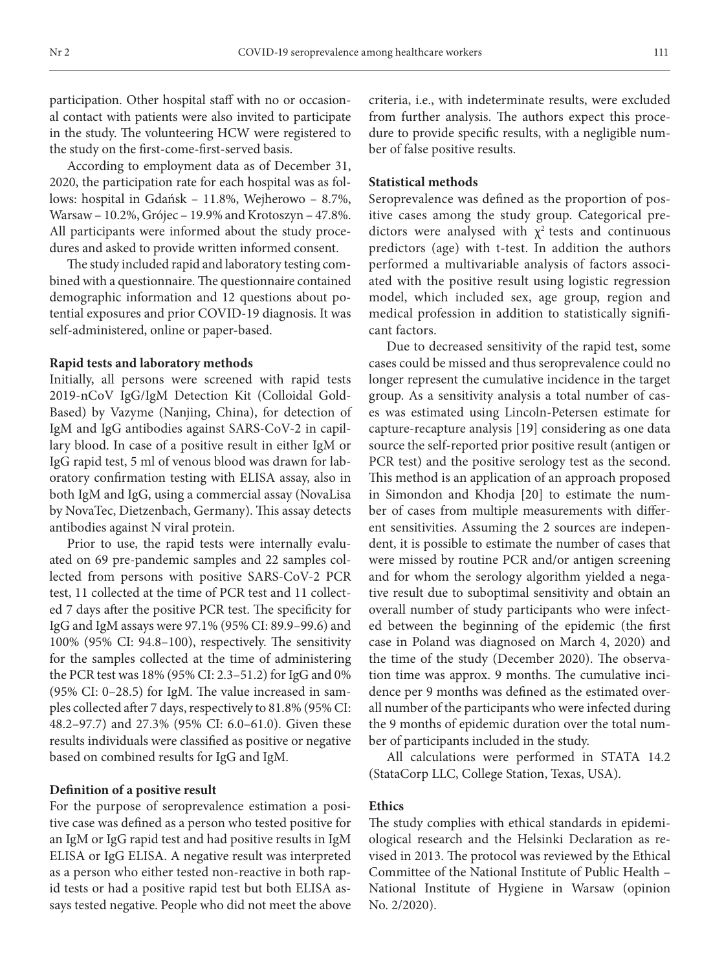participation. Other hospital staff with no or occasional contact with patients were also invited to participate in the study. The volunteering HCW were registered to the study on the first-come-first-served basis.

According to employment data as of December 31, 2020, the participation rate for each hospital was as follows: hospital in Gdańsk – 11.8%, Wejherowo – 8.7%, Warsaw – 10.2%, Grójec – 19.9% and Krotoszyn – 47.8%. All participants were informed about the study procedures and asked to provide written informed consent.

The study included rapid and laboratory testing combined with a questionnaire. The questionnaire contained demographic information and 12 questions about potential exposures and prior COVID-19 diagnosis. It was self-administered, online or paper-based.

### **Rapid tests and laboratory methods**

Initially, all persons were screened with rapid tests 2019-nCoV IgG/IgM Detection Kit (Colloidal Gold-Based) by Vazyme (Nanjing, China), for detection of IgM and IgG antibodies against SARS-CoV-2 in capillary blood. In case of a positive result in either IgM or IgG rapid test, 5 ml of venous blood was drawn for laboratory confirmation testing with ELISA assay, also in both IgM and IgG, using a commercial assay (NovaLisa by NovaTec, Dietzenbach, Germany). This assay detects antibodies against N viral protein.

Prior to use, the rapid tests were internally evaluated on 69 pre-pandemic samples and 22 samples collected from persons with positive SARS-CoV-2 PCR test, 11 collected at the time of PCR test and 11 collected 7 days after the positive PCR test. The specificity for IgG and IgM assays were 97.1% (95% CI: 89.9–99.6) and 100% (95% CI: 94.8–100), respectively. The sensitivity for the samples collected at the time of administering the PCR test was 18% (95% CI: 2.3–51.2) for IgG and 0% (95% CI: 0–28.5) for IgM. The value increased in samples collected after 7 days, respectively to 81.8% (95% CI: 48.2–97.7) and 27.3% (95% CI: 6.0–61.0). Given these results individuals were classified as positive or negative based on combined results for IgG and IgM.

### **Definition of a positive result**

For the purpose of seroprevalence estimation a positive case was defined as a person who tested positive for an IgM or IgG rapid test and had positive results in IgM ELISA or IgG ELISA. A negative result was interpreted as a person who either tested non-reactive in both rapid tests or had a positive rapid test but both ELISA assays tested negative. People who did not meet the above criteria, i.e., with indeterminate results, were excluded from further analysis. The authors expect this procedure to provide specific results, with a negligible number of false positive results.

### **Statistical methods**

Seroprevalence was defined as the proportion of positive cases among the study group. Categorical predictors were analysed with  $\chi^2$  tests and continuous predictors (age) with t-test. In addition the authors performed a multivariable analysis of factors associated with the positive result using logistic regression model, which included sex, age group, region and medical profession in addition to statistically significant factors.

Due to decreased sensitivity of the rapid test, some cases could be missed and thus seroprevalence could no longer represent the cumulative incidence in the target group. As a sensitivity analysis a total number of cases was estimated using Lincoln-Petersen estimate for capture-recapture analysis [19] considering as one data source the self-reported prior positive result (antigen or PCR test) and the positive serology test as the second. This method is an application of an approach proposed in Simondon and Khodja [20] to estimate the number of cases from multiple measurements with different sensitivities. Assuming the 2 sources are independent, it is possible to estimate the number of cases that were missed by routine PCR and/or antigen screening and for whom the serology algorithm yielded a negative result due to suboptimal sensitivity and obtain an overall number of study participants who were infected between the beginning of the epidemic (the first case in Poland was diagnosed on March 4, 2020) and the time of the study (December 2020). The observation time was approx. 9 months. The cumulative incidence per 9 months was defined as the estimated overall number of the participants who were infected during the 9 months of epidemic duration over the total number of participants included in the study.

All calculations were performed in STATA 14.2 (StataCorp LLC, College Station, Texas, USA).

## **Ethics**

The study complies with ethical standards in epidemiological research and the Helsinki Declaration as revised in 2013. The protocol was reviewed by the Ethical Committee of the National Institute of Public Health – National Institute of Hygiene in Warsaw (opinion No. 2/2020).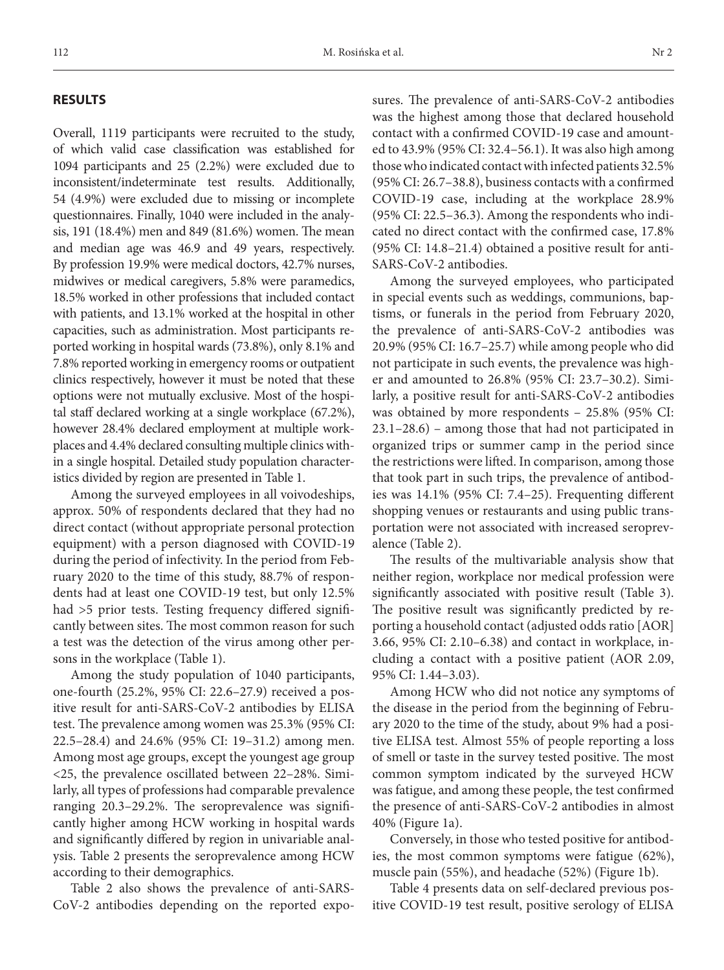### **RESULTS**

Overall, 1119 participants were recruited to the study, of which valid case classification was established for 1094 participants and 25 (2.2%) were excluded due to inconsistent/indeterminate test results. Additionally, 54 (4.9%) were excluded due to missing or incomplete questionnaires. Finally, 1040 were included in the analysis, 191 (18.4%) men and 849 (81.6%) women. The mean and median age was 46.9 and 49 years, respectively. By profession 19.9% were medical doctors, 42.7% nurses, midwives or medical caregivers, 5.8% were paramedics, 18.5% worked in other professions that included contact with patients, and 13.1% worked at the hospital in other capacities, such as administration. Most participants reported working in hospital wards (73.8%), only 8.1% and 7.8% reported working in emergency rooms or outpatient clinics respectively, however it must be noted that these options were not mutually exclusive. Most of the hospital staff declared working at a single workplace (67.2%), however 28.4% declared employment at multiple workplaces and 4.4% declared consulting multiple clinics within a single hospital. Detailed study population characteristics divided by region are presented in Table 1.

Among the surveyed employees in all voivodeships, approx. 50% of respondents declared that they had no direct contact (without appropriate personal protection equipment) with a person diagnosed with COVID-19 during the period of infectivity. In the period from February 2020 to the time of this study, 88.7% of respondents had at least one COVID-19 test, but only 12.5% had >5 prior tests. Testing frequency differed significantly between sites. The most common reason for such a test was the detection of the virus among other persons in the workplace (Table 1).

Among the study population of 1040 participants, one-fourth (25.2%, 95% CI: 22.6–27.9) received a positive result for anti-SARS-CoV-2 antibodies by ELISA test. The prevalence among women was 25.3% (95% CI: 22.5–28.4) and 24.6% (95% CI: 19–31.2) among men. Among most age groups, except the youngest age group <25, the prevalence oscillated between 22–28%. Similarly, all types of professions had comparable prevalence ranging 20.3–29.2%. The seroprevalence was significantly higher among HCW working in hospital wards and significantly differed by region in univariable analysis. Table 2 presents the seroprevalence among HCW according to their demographics.

Table 2 also shows the prevalence of anti-SARS-CoV-2 antibodies depending on the reported exposures. The prevalence of anti-SARS-CoV-2 antibodies was the highest among those that declared household contact with a confirmed COVID-19 case and amounted to 43.9% (95% CI: 32.4–56.1). It was also high among those who indicated contact with infected patients 32.5% (95% CI: 26.7–38.8), business contacts with a confirmed COVID-19 case, including at the workplace 28.9% (95% CI: 22.5–36.3). Among the respondents who indicated no direct contact with the confirmed case, 17.8% (95% CI: 14.8–21.4) obtained a positive result for anti-SARS-CoV-2 antibodies.

Among the surveyed employees, who participated in special events such as weddings, communions, baptisms, or funerals in the period from February 2020, the prevalence of anti-SARS-CoV-2 antibodies was 20.9% (95% CI: 16.7–25.7) while among people who did not participate in such events, the prevalence was higher and amounted to 26.8% (95% CI: 23.7–30.2). Similarly, a positive result for anti-SARS-CoV-2 antibodies was obtained by more respondents – 25.8% (95% CI: 23.1–28.6) – among those that had not participated in organized trips or summer camp in the period since the restrictions were lifted. In comparison, among those that took part in such trips, the prevalence of antibodies was 14.1% (95% CI: 7.4–25). Frequenting different shopping venues or restaurants and using public transportation were not associated with increased seroprevalence (Table 2).

The results of the multivariable analysis show that neither region, workplace nor medical profession were significantly associated with positive result (Table 3). The positive result was significantly predicted by reporting a household contact (adjusted odds ratio [AOR] 3.66, 95% CI: 2.10–6.38) and contact in workplace, including a contact with a positive patient (AOR 2.09, 95% CI: 1.44–3.03).

Among HCW who did not notice any symptoms of the disease in the period from the beginning of February 2020 to the time of the study, about 9% had a positive ELISA test. Almost 55% of people reporting a loss of smell or taste in the survey tested positive. The most common symptom indicated by the surveyed HCW was fatigue, and among these people, the test confirmed the presence of anti-SARS-CoV-2 antibodies in almost 40% (Figure 1a).

Conversely, in those who tested positive for antibodies, the most common symptoms were fatigue (62%), muscle pain (55%), and headache (52%) (Figure 1b).

Table 4 presents data on self-declared previous positive COVID-19 test result, positive serology of ELISA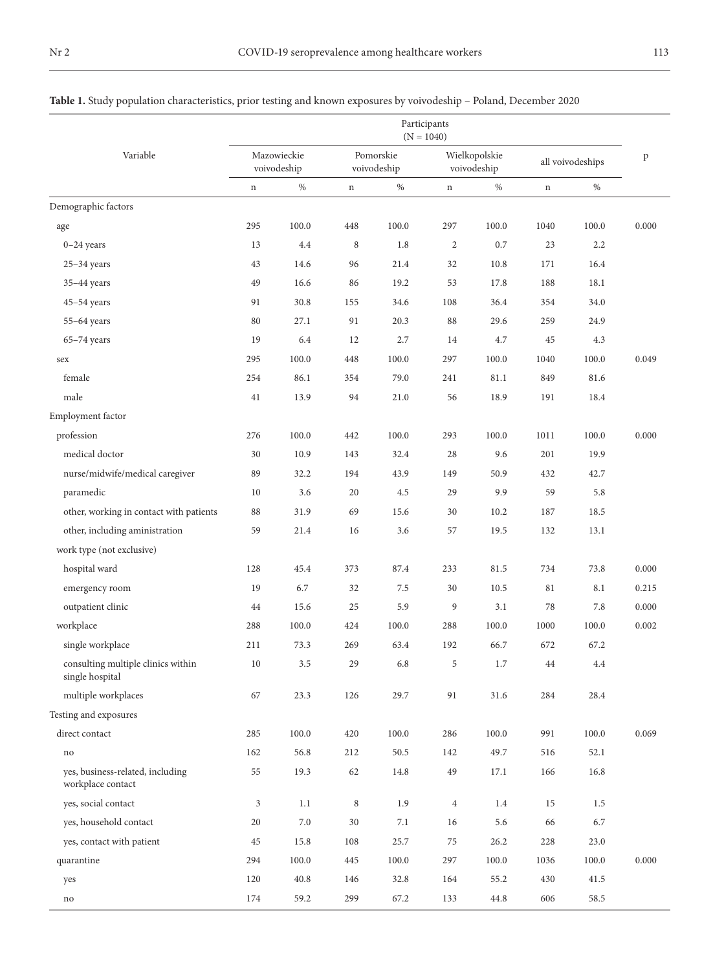|                                                       |             |                            |             |                          | Participants<br>$(N = 1040)$ |                              |             |                  |              |
|-------------------------------------------------------|-------------|----------------------------|-------------|--------------------------|------------------------------|------------------------------|-------------|------------------|--------------|
| Variable                                              |             | Mazowieckie<br>voivodeship |             | Pomorskie<br>voivodeship |                              | Wielkopolskie<br>voivodeship |             | all voivodeships | $\, {\bf p}$ |
|                                                       | $\mathbf n$ | $\%$                       | $\mathbf n$ | $\%$                     | $\mathbf n$                  | $\%$                         | $\mathbf n$ | $\%$             |              |
| Demographic factors                                   |             |                            |             |                          |                              |                              |             |                  |              |
| age                                                   | 295         | 100.0                      | 448         | 100.0                    | 297                          | 100.0                        | 1040        | 100.0            | 0.000        |
| $0-24$ years                                          | 13          | 4.4                        | 8           | 1.8                      | $\overline{c}$               | 0.7                          | 23          | 2.2              |              |
| $25-34$ years                                         | 43          | 14.6                       | 96          | 21.4                     | 32                           | 10.8                         | 171         | 16.4             |              |
| $35-44$ years                                         | 49          | 16.6                       | 86          | 19.2                     | 53                           | 17.8                         | 188         | 18.1             |              |
| $45 - 54$ years                                       | 91          | 30.8                       | 155         | 34.6                     | 108                          | 36.4                         | 354         | 34.0             |              |
| $55-64$ years                                         | 80          | 27.1                       | 91          | 20.3                     | 88                           | 29.6                         | 259         | 24.9             |              |
| $65-74$ years                                         | 19          | 6.4                        | 12          | 2.7                      | 14                           | 4.7                          | 45          | 4.3              |              |
| sex                                                   | 295         | 100.0                      | 448         | 100.0                    | 297                          | 100.0                        | 1040        | 100.0            | 0.049        |
| female                                                | 254         | 86.1                       | 354         | 79.0                     | 241                          | 81.1                         | 849         | 81.6             |              |
| male                                                  | 41          | 13.9                       | 94          | 21.0                     | 56                           | 18.9                         | 191         | 18.4             |              |
| Employment factor                                     |             |                            |             |                          |                              |                              |             |                  |              |
| profession                                            | 276         | 100.0                      | 442         | 100.0                    | 293                          | 100.0                        | 1011        | 100.0            | 0.000        |
| medical doctor                                        | 30          | 10.9                       | 143         | 32.4                     | 28                           | 9.6                          | 201         | 19.9             |              |
| nurse/midwife/medical caregiver                       | 89          | 32.2                       | 194         | 43.9                     | 149                          | 50.9                         | 432         | 42.7             |              |
| paramedic                                             | 10          | 3.6                        | 20          | 4.5                      | 29                           | 9.9                          | 59          | 5.8              |              |
| other, working in contact with patients               | 88          | 31.9                       | 69          | 15.6                     | 30                           | 10.2                         | 187         | 18.5             |              |
| other, including aministration                        | 59          | 21.4                       | 16          | 3.6                      | 57                           | 19.5                         | 132         | 13.1             |              |
| work type (not exclusive)                             |             |                            |             |                          |                              |                              |             |                  |              |
| hospital ward                                         | 128         | 45.4                       | 373         | 87.4                     | 233                          | 81.5                         | 734         | 73.8             | 0.000        |
| emergency room                                        | 19          | 6.7                        | 32          | 7.5                      | 30                           | 10.5                         | 81          | 8.1              | 0.215        |
| outpatient clinic                                     | 44          | 15.6                       | 25          | 5.9                      | 9                            | 3.1                          | 78          | 7.8              | 0.000        |
| workplace                                             | 288         | 100.0                      | 424         | 100.0                    | 288                          | 100.0                        | 1000        | 100.0            | 0.002        |
| single workplace                                      | 211         | 73.3                       | 269         | 63.4                     | 192                          | 66.7                         | 672         | 67.2             |              |
| consulting multiple clinics within<br>single hospital | 10          | 3.5                        | 29          | 6.8                      | 5                            | 1.7                          | 44          | 4.4              |              |
| multiple workplaces                                   | 67          | 23.3                       | 126         | 29.7                     | 91                           | 31.6                         | 284         | 28.4             |              |
| Testing and exposures                                 |             |                            |             |                          |                              |                              |             |                  |              |
| direct contact                                        | 285         | 100.0                      | 420         | 100.0                    | 286                          | 100.0                        | 991         | 100.0            | 0.069        |
| no                                                    | 162         | 56.8                       | 212         | 50.5                     | 142                          | 49.7                         | 516         | 52.1             |              |
| yes, business-related, including<br>workplace contact | 55          | 19.3                       | 62          | 14.8                     | 49                           | 17.1                         | 166         | 16.8             |              |
| yes, social contact                                   | 3           | 1.1                        | $\,$ 8 $\,$ | 1.9                      | $\overline{4}$               | 1.4                          | 15          | 1.5              |              |
| yes, household contact                                | 20          | $7.0\,$                    | $30\,$      | $7.1\,$                  | 16                           | 5.6                          | 66          | 6.7              |              |
| yes, contact with patient                             | 45          | 15.8                       | 108         | 25.7                     | 75                           | 26.2                         | 228         | 23.0             |              |
| quarantine                                            | 294         | 100.0                      | 445         | $100.0\,$                | 297                          | 100.0                        | 1036        | 100.0            | 0.000        |
| yes                                                   | 120         | 40.8                       | 146         | 32.8                     | 164                          | 55.2                         | 430         | 41.5             |              |
| no                                                    | $174\,$     | 59.2                       | 299         | 67.2                     | 133                          | 44.8                         | 606         | 58.5             |              |

## **Table 1.** Study population characteristics, prior testing and known exposures by voivodeship – Poland, December 2020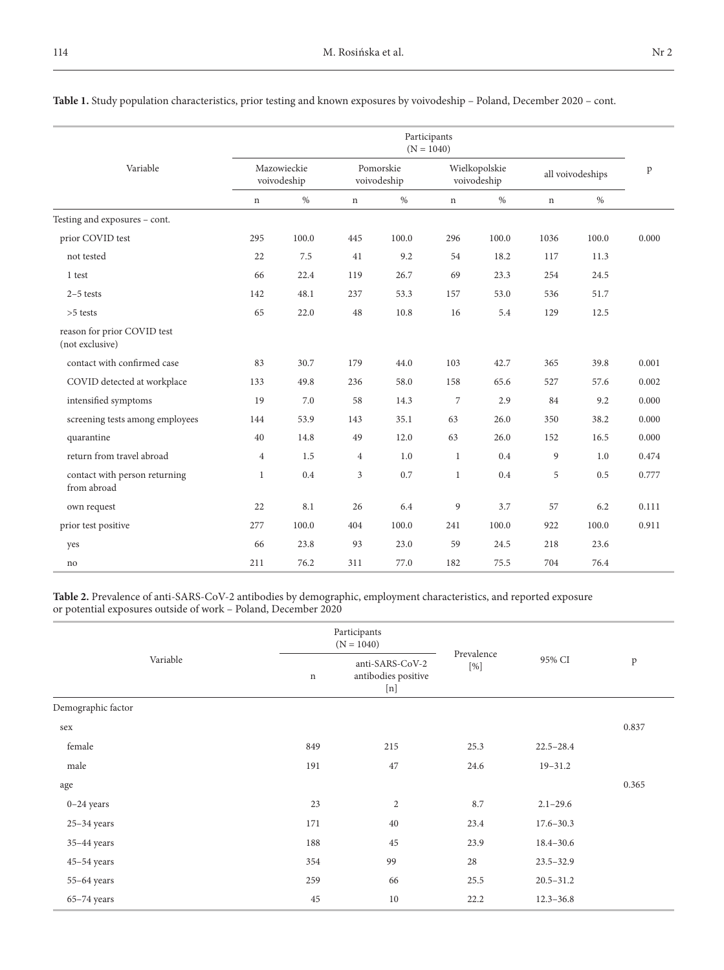|                                                |                |                            |                |                          | Participants<br>$(N = 1040)$ |                              |             |                  |       |
|------------------------------------------------|----------------|----------------------------|----------------|--------------------------|------------------------------|------------------------------|-------------|------------------|-------|
| Variable                                       |                | Mazowieckie<br>voivodeship |                | Pomorskie<br>voivodeship |                              | Wielkopolskie<br>voivodeship |             | all voivodeships | p     |
|                                                | $\mathbf n$    | $\%$                       | $\mathbf n$    | $\%$                     | $\mathbf n$                  | $\%$                         | $\mathbf n$ | $\%$             |       |
| Testing and exposures - cont.                  |                |                            |                |                          |                              |                              |             |                  |       |
| prior COVID test                               | 295            | 100.0                      | 445            | 100.0                    | 296                          | 100.0                        | 1036        | 100.0            | 0.000 |
| not tested                                     | 22             | 7.5                        | 41             | 9.2                      | 54                           | 18.2                         | 117         | 11.3             |       |
| 1 test                                         | 66             | 22.4                       | 119            | 26.7                     | 69                           | 23.3                         | 254         | 24.5             |       |
| $2-5$ tests                                    | 142            | 48.1                       | 237            | 53.3                     | 157                          | 53.0                         | 536         | 51.7             |       |
| $>5$ tests                                     | 65             | 22.0                       | 48             | 10.8                     | 16                           | 5.4                          | 129         | 12.5             |       |
| reason for prior COVID test<br>(not exclusive) |                |                            |                |                          |                              |                              |             |                  |       |
| contact with confirmed case                    | 83             | 30.7                       | 179            | 44.0                     | 103                          | 42.7                         | 365         | 39.8             | 0.001 |
| COVID detected at workplace                    | 133            | 49.8                       | 236            | 58.0                     | 158                          | 65.6                         | 527         | 57.6             | 0.002 |
| intensified symptoms                           | 19             | 7.0                        | 58             | 14.3                     | $\sqrt{2}$                   | 2.9                          | 84          | 9.2              | 0.000 |
| screening tests among employees                | 144            | 53.9                       | 143            | 35.1                     | 63                           | 26.0                         | 350         | 38.2             | 0.000 |
| quarantine                                     | 40             | 14.8                       | 49             | 12.0                     | 63                           | 26.0                         | 152         | 16.5             | 0.000 |
| return from travel abroad                      | $\overline{4}$ | 1.5                        | $\overline{4}$ | 1.0                      | 1                            | 0.4                          | 9           | 1.0              | 0.474 |
| contact with person returning<br>from abroad   | $\mathbf{1}$   | 0.4                        | 3              | 0.7                      | $\mathbf{1}$                 | 0.4                          | 5           | 0.5              | 0.777 |
| own request                                    | 22             | 8.1                        | 26             | 6.4                      | 9                            | 3.7                          | 57          | 6.2              | 0.111 |
| prior test positive                            | 277            | 100.0                      | 404            | 100.0                    | 241                          | 100.0                        | 922         | 100.0            | 0.911 |
| yes                                            | 66             | 23.8                       | 93             | 23.0                     | 59                           | 24.5                         | 218         | 23.6             |       |
| no                                             | 211            | 76.2                       | 311            | 77.0                     | 182                          | 75.5                         | 704         | 76.4             |       |

**Table 1.** Study population characteristics, prior testing and known exposures by voivodeship – Poland, December 2020 – cont.

**Table 2.** Prevalence of anti-SARS-CoV-2 antibodies by demographic, employment characteristics, and reported exposure or potential exposures outside of work – Poland, December 2020

|                    |             | Participants<br>$(N = 1040)$                  |                      |               |       |
|--------------------|-------------|-----------------------------------------------|----------------------|---------------|-------|
| Variable           | $\mathbf n$ | anti-SARS-CoV-2<br>antibodies positive<br>[n] | Prevalence<br>$[\%]$ | 95% CI        | p     |
| Demographic factor |             |                                               |                      |               |       |
| sex                |             |                                               |                      |               | 0.837 |
| female             | 849         | 215                                           | 25.3                 | $22.5 - 28.4$ |       |
| male               | 191         | 47                                            | 24.6                 | $19 - 31.2$   |       |
| age                |             |                                               |                      |               | 0.365 |
| $0-24$ years       | 23          | $\sqrt{2}$                                    | 8.7                  | $2.1 - 29.6$  |       |
| $25-34$ years      | 171         | 40                                            | 23.4                 | $17.6 - 30.3$ |       |
| $35-44$ years      | 188         | 45                                            | 23.9                 | 18.4-30.6     |       |
| $45 - 54$ years    | 354         | 99                                            | 28                   | $23.5 - 32.9$ |       |
| $55-64$ years      | 259         | 66                                            | 25.5                 | $20.5 - 31.2$ |       |
| $65-74$ years      | 45          | 10                                            | 22.2                 | $12.3 - 36.8$ |       |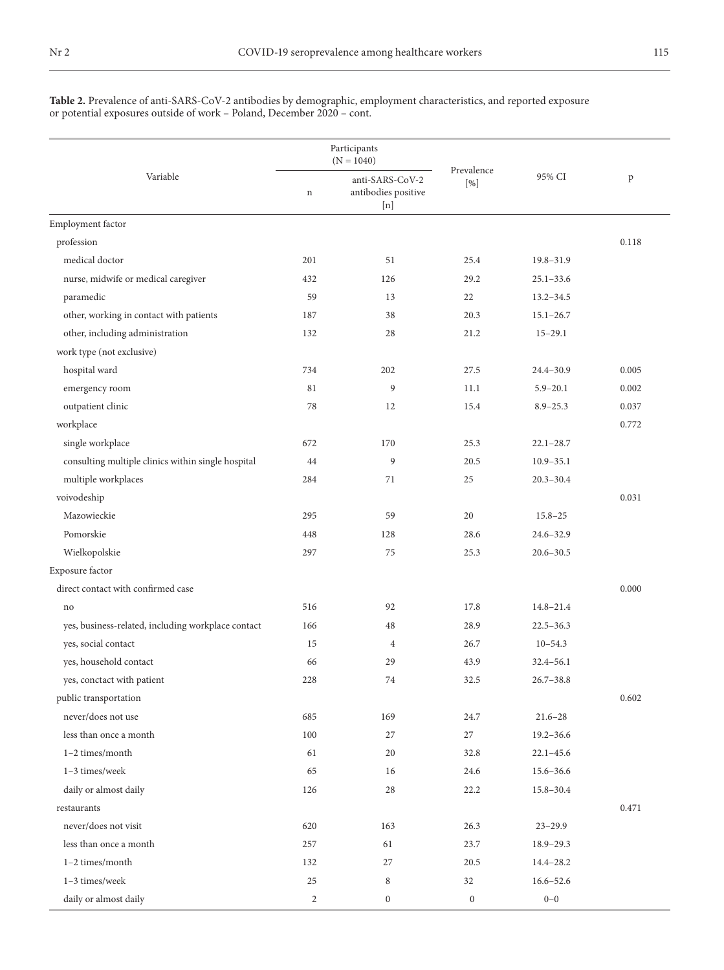**Table 2.** Prevalence of anti-SARS-CoV-2 antibodies by demographic, employment characteristics, and reported exposure or potential exposures outside of work – Poland, December 2020 – cont.

|                                                    |                | Participants<br>$(N = 1040)$                  |                   |               |       |
|----------------------------------------------------|----------------|-----------------------------------------------|-------------------|---------------|-------|
| Variable                                           | $\mathbf n$    | anti-SARS-CoV-2<br>antibodies positive<br>[n] | Prevalence<br>[%] | 95% CI        | p     |
| Employment factor                                  |                |                                               |                   |               |       |
| profession                                         |                |                                               |                   |               | 0.118 |
| medical doctor                                     | 201            | 51                                            | 25.4              | $19.8 - 31.9$ |       |
| nurse, midwife or medical caregiver                | 432            | 126                                           | 29.2              | $25.1 - 33.6$ |       |
| paramedic                                          | 59             | 13                                            | 22                | $13.2 - 34.5$ |       |
| other, working in contact with patients            | 187            | 38                                            | 20.3              | $15.1 - 26.7$ |       |
| other, including administration                    | 132            | 28                                            | 21.2              | $15 - 29.1$   |       |
| work type (not exclusive)                          |                |                                               |                   |               |       |
| hospital ward                                      | 734            | 202                                           | 27.5              | $24.4 - 30.9$ | 0.005 |
| emergency room                                     | 81             | 9                                             | 11.1              | $5.9 - 20.1$  | 0.002 |
| outpatient clinic                                  | 78             | 12                                            | 15.4              | $8.9 - 25.3$  | 0.037 |
| workplace                                          |                |                                               |                   |               | 0.772 |
| single workplace                                   | 672            | 170                                           | 25.3              | $22.1 - 28.7$ |       |
| consulting multiple clinics within single hospital | 44             | 9                                             | 20.5              | $10.9 - 35.1$ |       |
| multiple workplaces                                | 284            | 71                                            | 25                | $20.3 - 30.4$ |       |
| voivodeship                                        |                |                                               |                   |               | 0.031 |
| Mazowieckie                                        | 295            | 59                                            | 20                | $15.8 - 25$   |       |
| Pomorskie                                          | 448            | 128                                           | 28.6              | $24.6 - 32.9$ |       |
| Wielkopolskie                                      | 297            | 75                                            | 25.3              | $20.6 - 30.5$ |       |
| Exposure factor                                    |                |                                               |                   |               |       |
| direct contact with confirmed case                 |                |                                               |                   |               | 0.000 |
| no                                                 | 516            | 92                                            | 17.8              | $14.8 - 21.4$ |       |
| yes, business-related, including workplace contact | 166            | 48                                            | 28.9              | $22.5 - 36.3$ |       |
| yes, social contact                                | 15             | $\overline{4}$                                | 26.7              | $10 - 54.3$   |       |
| yes, household contact                             | 66             | 29                                            | 43.9              | $32.4 - 56.1$ |       |
| yes, conctact with patient                         | 228            | 74                                            | 32.5              | $26.7 - 38.8$ |       |
| public transportation                              |                |                                               |                   |               | 0.602 |
| never/does not use                                 | 685            | 169                                           | 24.7              | $21.6 - 28$   |       |
| less than once a month                             | 100            | 27                                            | 27                | $19.2 - 36.6$ |       |
| 1-2 times/month                                    | 61             | 20                                            | 32.8              | $22.1 - 45.6$ |       |
| 1-3 times/week                                     | 65             | 16                                            | 24.6              | 15.6-36.6     |       |
| daily or almost daily                              | 126            | 28                                            | 22.2              | $15.8 - 30.4$ |       |
| restaurants                                        |                |                                               |                   |               | 0.471 |
| never/does not visit                               | 620            | 163                                           | 26.3              | $23 - 29.9$   |       |
| less than once a month                             | 257            | 61                                            | 23.7              | $18.9 - 29.3$ |       |
| 1-2 times/month                                    | 132            | 27                                            | 20.5              | $14.4 - 28.2$ |       |
| 1-3 times/week                                     | 25             | 8                                             | 32                | $16.6 - 52.6$ |       |
| daily or almost daily                              | $\overline{2}$ | $\boldsymbol{0}$                              | $\boldsymbol{0}$  | $0\mbox{--}0$ |       |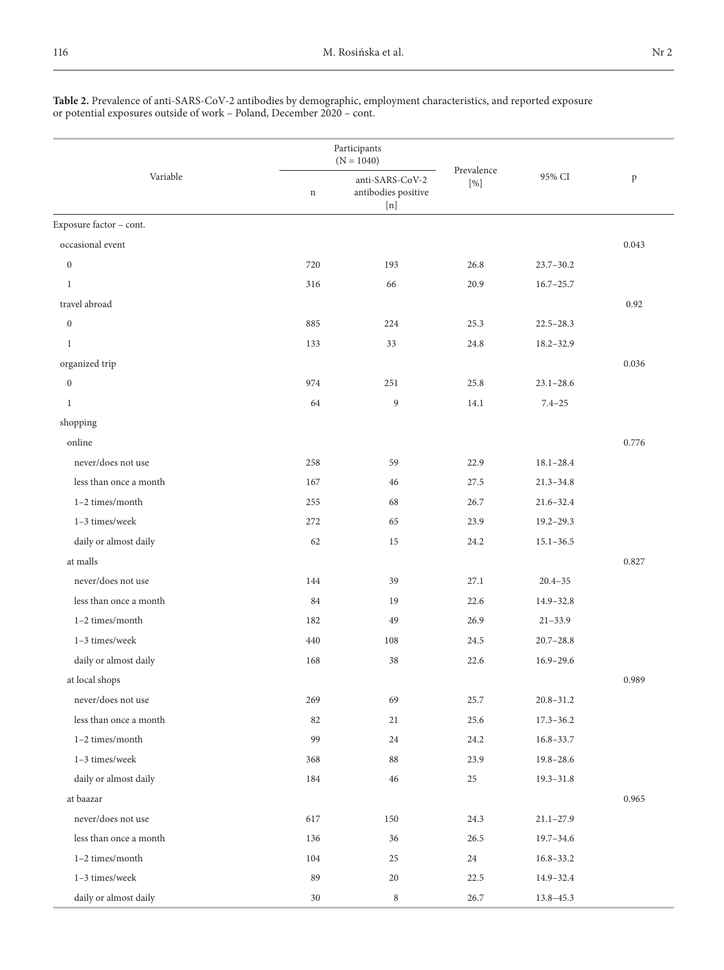#### **Table 2.** Prevalence of anti-SARS-CoV-2 antibodies by demographic, employment characteristics, and reported exposure or potential exposures outside of work – Poland, December 2020 – cont.

|                         |             | Participants<br>$(N = 1040)$                  |                   |               |       |
|-------------------------|-------------|-----------------------------------------------|-------------------|---------------|-------|
| Variable                | $\mathbf n$ | anti-SARS-CoV-2<br>antibodies positive<br>[n] | Prevalence<br>[%] | 95% CI        | p     |
| Exposure factor - cont. |             |                                               |                   |               |       |
| occasional event        |             |                                               |                   |               | 0.043 |
| $\boldsymbol{0}$        | 720         | 193                                           | 26.8              | $23.7 - 30.2$ |       |
| 1                       | 316         | 66                                            | 20.9              | $16.7 - 25.7$ |       |
| travel abroad           |             |                                               |                   |               | 0.92  |
| $\mathbf{0}$            | 885         | 224                                           | 25.3              | $22.5 - 28.3$ |       |
| $\mathbf{1}$            | 133         | 33                                            | 24.8              | $18.2 - 32.9$ |       |
| organized trip          |             |                                               |                   |               | 0.036 |
| $\mathbf{0}$            | 974         | 251                                           | 25.8              | $23.1 - 28.6$ |       |
| $\mathbf{1}$            | 64          | 9                                             | 14.1              | $7.4 - 25$    |       |
| shopping                |             |                                               |                   |               |       |
| online                  |             |                                               |                   |               | 0.776 |
| never/does not use      | 258         | 59                                            | 22.9              | $18.1 - 28.4$ |       |
| less than once a month  | 167         | 46                                            | 27.5              | $21.3 - 34.8$ |       |
| $1-2$ times/month       | 255         | 68                                            | 26.7              | $21.6 - 32.4$ |       |
| 1-3 times/week          | 272         | 65                                            | 23.9              | $19.2 - 29.3$ |       |
| daily or almost daily   | 62          | 15                                            | 24.2              | $15.1 - 36.5$ |       |
| at malls                |             |                                               |                   |               | 0.827 |
| never/does not use      | 144         | 39                                            | 27.1              | $20.4 - 35$   |       |
| less than once a month  | 84          | 19                                            | 22.6              | $14.9 - 32.8$ |       |
| $1-2$ times/month       | 182         | 49                                            | 26.9              | $21 - 33.9$   |       |
| 1-3 times/week          | 440         | 108                                           | 24.5              | $20.7 - 28.8$ |       |
| daily or almost daily   | 168         | 38                                            | 22.6              | $16.9 - 29.6$ |       |
| at local shops          |             |                                               |                   |               | 0.989 |
| never/does not use      | 269         | 69                                            | 25.7              | $20.8 - 31.2$ |       |
| less than once a month  | 82          | 21                                            | 25.6              | $17.3 - 36.2$ |       |
| $1-2$ times/month       | 99          | 24                                            | 24.2              | $16.8 - 33.7$ |       |
| $1-3$ times/week        | 368         | 88                                            | 23.9              | $19.8 - 28.6$ |       |
| daily or almost daily   | 184         | 46                                            | 25                | $19.3 - 31.8$ |       |
| at baazar               |             |                                               |                   |               | 0.965 |
| never/does not use      | 617         | 150                                           | 24.3              | $21.1 - 27.9$ |       |
| less than once a month  | 136         | 36                                            | 26.5              | 19.7-34.6     |       |
| 1-2 times/month         | 104         | 25                                            | 24                | $16.8 - 33.2$ |       |
| 1-3 times/week          | 89          | 20                                            | 22.5              | 14.9-32.4     |       |
| daily or almost daily   | 30          | 8                                             | 26.7              | $13.8 - 45.3$ |       |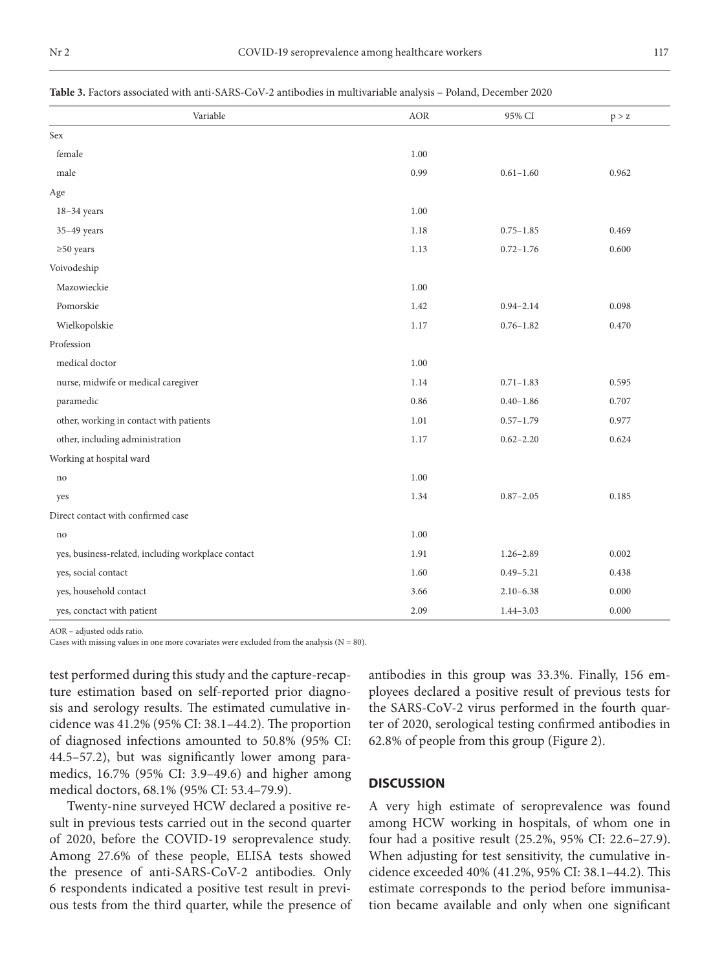#### **Table 3.** Factors associated with anti-SARS-CoV-2 antibodies in multivariable analysis – Poland, December 2020

| Variable                                           | $\rm{AOR}$ | 95% CI        | p > z |
|----------------------------------------------------|------------|---------------|-------|
| Sex                                                |            |               |       |
| female                                             | 1.00       |               |       |
| male                                               | 0.99       | $0.61 - 1.60$ | 0.962 |
| Age                                                |            |               |       |
| $18-34$ years                                      | 1.00       |               |       |
| $35-49$ years                                      | 1.18       | $0.75 - 1.85$ | 0.469 |
| $\geq 50$ years                                    | 1.13       | $0.72 - 1.76$ | 0.600 |
| Voivodeship                                        |            |               |       |
| Mazowieckie                                        | 1.00       |               |       |
| Pomorskie                                          | 1.42       | $0.94 - 2.14$ | 0.098 |
| Wielkopolskie                                      | 1.17       | $0.76 - 1.82$ | 0.470 |
| Profession                                         |            |               |       |
| medical doctor                                     | 1.00       |               |       |
| nurse, midwife or medical caregiver                | 1.14       | $0.71 - 1.83$ | 0.595 |
| paramedic                                          | 0.86       | $0.40 - 1.86$ | 0.707 |
| other, working in contact with patients            | 1.01       | $0.57 - 1.79$ | 0.977 |
| other, including administration                    | 1.17       | $0.62 - 2.20$ | 0.624 |
| Working at hospital ward                           |            |               |       |
| no                                                 | 1.00       |               |       |
| yes                                                | 1.34       | $0.87 - 2.05$ | 0.185 |
| Direct contact with confirmed case                 |            |               |       |
| no                                                 | 1.00       |               |       |
| yes, business-related, including workplace contact | 1.91       | $1.26 - 2.89$ | 0.002 |
| yes, social contact                                | 1.60       | $0.49 - 5.21$ | 0.438 |
| yes, household contact                             | 3.66       | $2.10 - 6.38$ | 0.000 |
| yes, conctact with patient                         | 2.09       | $1.44 - 3.03$ | 0.000 |

AOR – adjusted odds ratio.

Cases with missing values in one more covariates were excluded from the analysis ( $N = 80$ ).

test performed during this study and the capture-recapture estimation based on self-reported prior diagnosis and serology results. The estimated cumulative incidence was 41.2% (95% CI: 38.1–44.2). The proportion of diagnosed infections amounted to 50.8% (95% CI: 44.5–57.2), but was significantly lower among paramedics, 16.7% (95% CI: 3.9–49.6) and higher among medical doctors, 68.1% (95% CI: 53.4–79.9).

Twenty-nine surveyed HCW declared a positive result in previous tests carried out in the second quarter of 2020, before the COVID-19 seroprevalence study. Among 27.6% of these people, ELISA tests showed the presence of anti-SARS-CoV-2 antibodies. Only 6 respondents indicated a positive test result in previous tests from the third quarter, while the presence of antibodies in this group was 33.3%. Finally, 156 employees declared a positive result of previous tests for the SARS-CoV-2 virus performed in the fourth quarter of 2020, serological testing confirmed antibodies in 62.8% of people from this group (Figure 2).

### **DISCUSSION**

A very high estimate of seroprevalence was found among HCW working in hospitals, of whom one in four had a positive result (25.2%, 95% CI: 22.6–27.9). When adjusting for test sensitivity, the cumulative incidence exceeded 40% (41.2%, 95% CI: 38.1–44.2). This estimate corresponds to the period before immunisation became available and only when one significant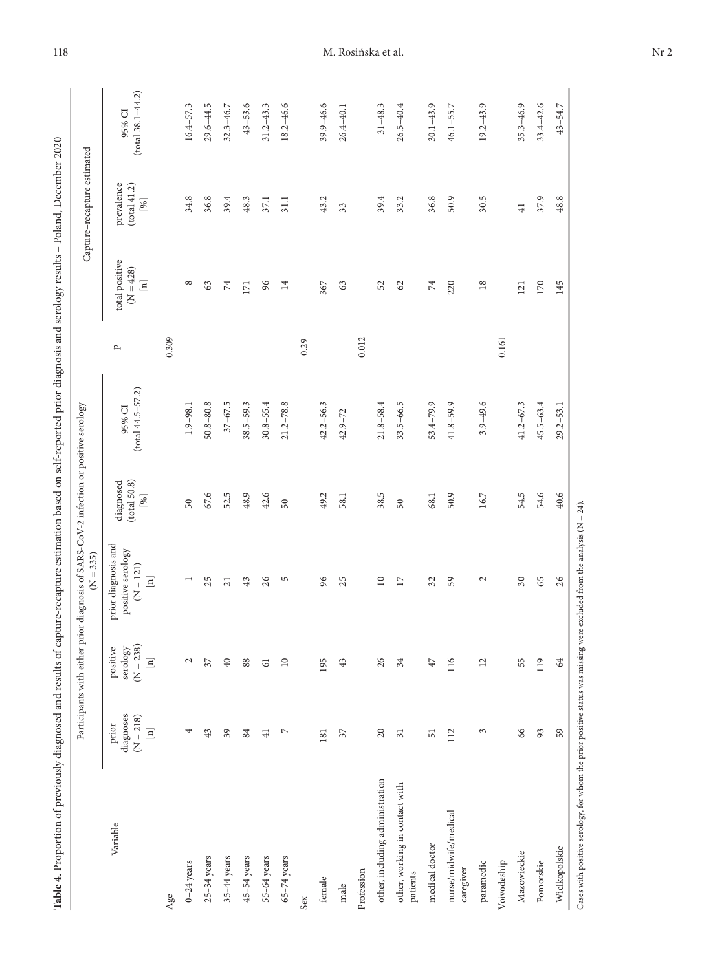| $(tota138.1-44.2)$<br>$43 - 53.6$<br>18.2-46.6<br>$33.4 - 42.6$<br>$29.6 - 44.5$<br>$31.2 - 43.3$<br>39.9-46.6<br>$26.5 - 40.4$<br>$30.1 - 43.9$<br>$19.2 - 43.9$<br>$35.3 - 46.9$<br>$43 - 54.7$<br>$16.4 - 57.3$<br>$32.3 - 46.7$<br>$31 - 48.3$<br>$46.1 - 55.7$<br>$26.4 - 40.1$<br>95% CI<br>prevalence<br>(total 41.2)<br>34.8<br>36.8<br>39.4<br>43.2<br>39.4<br>36.8<br>50.9<br>30.5<br>37.9<br>48.8<br>48.3<br>33.2<br>37.1<br>31.1<br>$[% \begin{matrix} \mathcal{L}_{\mathcal{A}} & \mathcal{L}_{\mathcal{A}} \\ \mathcal{L}_{\mathcal{A}} & \mathcal{L}_{\mathcal{A}} \end{matrix} \big]$<br>33<br>$\overline{41}$<br>total positive<br>$(N = 428)$<br>$\boxed{\text{m}}$<br>96<br>${}^{\circ}$<br>$\,$ 74 $\,$<br>$\rm 74$<br>220<br>$18\,$<br>170<br>145<br>63<br>14<br>367<br>52<br>62<br>63<br>171<br>121<br>0.309<br>0.012<br>0.161<br>0.29<br>p<br>$(total 44.5 - 57.2)$<br>$37 - 67.5$<br>$3.9 - 49.6$<br>$50.8 - 80.8$<br>$38.5 - 59.3$<br>$30.8 - 55.4$<br>$21.2 - 78.8$<br>$42.2 - 56.3$<br>$21.8 - 58.4$<br>$33.5 - 66.5$<br>53.4-79.9<br>$41.8 - 59.9$<br>$41.2 - 67.3$<br>$45.5 - 63.4$<br>$1.9 - 98.1$<br>$29.2 - 53.1$<br>95% CI<br>$42.9 - 72$<br>(tota150.8)<br>diagnosed<br>67.6<br>40.6<br>52.5<br>48.9<br>42.6<br>38.5<br>50.9<br>54.5<br>54.6<br>49.2<br>68.1<br>$16.7\,$<br>$[%] \centering \includegraphics[width=0.47\textwidth]{images/TrDiM1.png} \caption{The 3D (top) and the 4D (bottom) of the 3D (bottom) and the 4D (bottom) of the 3D (bottom) and the 4D (bottom) of the 3D (bottom).} \label{fig:TrDiM1}$<br>58.1<br>50<br>50<br>$50\,$<br>prior diagnosis and<br>positive serology<br>$= 121$<br>$\boxed{\text{m}}$<br>25<br>43<br>26<br>S<br>96<br>25<br>$\overline{10}$<br>32<br>59<br>$\sim$<br>$\overline{30}$<br>65<br>26<br>$\overline{21}$<br>$\Box$<br>$\leq$<br>$(N = 238)$<br>serology<br>positive<br>$\boxed{\Xi}$<br>26<br>116<br>$\mathbf{C}$<br>$40\,$<br>88<br>$\overline{10}$<br>195<br>34<br>$\overline{12}$<br>55<br>119<br>64<br>57<br>43<br>$47\,$<br>$\overline{61}$<br>diagnoses<br>$(N = 218)$<br>prior<br>$\boxed{\text{m}}$<br>$20\,$<br>66<br>59<br>43<br>39<br>84<br>$\overline{ }$<br>112<br>$\epsilon$<br>93<br>4<br>$57\,$<br>$\overline{31}$<br>$\overline{41}$<br>181<br>51<br>other, including administration<br>other, working in contact with<br>nurse/midwife/medical<br>Variable<br>medical doctor<br>Wielkopolskie<br>Mazowieckie<br>$25-34$ years<br>$35-44$ years<br>45-54 years<br>$65 - 74$ years<br>55-64 years<br>Pomorskie<br>paramedic<br>$0-24$ years<br>Voivodeship<br>caregiver<br>Profession<br>patients<br>female<br>male<br>Age<br>Sex |  | Participants with either prior diagnosis of SARS-CoV-2 infection or positive serology<br>$(N = 335)$ |  |  | Capture-recapture estimated |  |
|--------------------------------------------------------------------------------------------------------------------------------------------------------------------------------------------------------------------------------------------------------------------------------------------------------------------------------------------------------------------------------------------------------------------------------------------------------------------------------------------------------------------------------------------------------------------------------------------------------------------------------------------------------------------------------------------------------------------------------------------------------------------------------------------------------------------------------------------------------------------------------------------------------------------------------------------------------------------------------------------------------------------------------------------------------------------------------------------------------------------------------------------------------------------------------------------------------------------------------------------------------------------------------------------------------------------------------------------------------------------------------------------------------------------------------------------------------------------------------------------------------------------------------------------------------------------------------------------------------------------------------------------------------------------------------------------------------------------------------------------------------------------------------------------------------------------------------------------------------------------------------------------------------------------------------------------------------------------------------------------------------------------------------------------------------------------------------------------------------------------------------------------------------------------------------------------------------------------------------------------------------------------------------------------------------------------------------------------------------------------------------------------------------------------------------------------------------------------------------------------------------------------------------------------------------------------------------------------------------------------------------------------|--|------------------------------------------------------------------------------------------------------|--|--|-----------------------------|--|
|                                                                                                                                                                                                                                                                                                                                                                                                                                                                                                                                                                                                                                                                                                                                                                                                                                                                                                                                                                                                                                                                                                                                                                                                                                                                                                                                                                                                                                                                                                                                                                                                                                                                                                                                                                                                                                                                                                                                                                                                                                                                                                                                                                                                                                                                                                                                                                                                                                                                                                                                                                                                                                            |  |                                                                                                      |  |  |                             |  |
|                                                                                                                                                                                                                                                                                                                                                                                                                                                                                                                                                                                                                                                                                                                                                                                                                                                                                                                                                                                                                                                                                                                                                                                                                                                                                                                                                                                                                                                                                                                                                                                                                                                                                                                                                                                                                                                                                                                                                                                                                                                                                                                                                                                                                                                                                                                                                                                                                                                                                                                                                                                                                                            |  |                                                                                                      |  |  |                             |  |
|                                                                                                                                                                                                                                                                                                                                                                                                                                                                                                                                                                                                                                                                                                                                                                                                                                                                                                                                                                                                                                                                                                                                                                                                                                                                                                                                                                                                                                                                                                                                                                                                                                                                                                                                                                                                                                                                                                                                                                                                                                                                                                                                                                                                                                                                                                                                                                                                                                                                                                                                                                                                                                            |  |                                                                                                      |  |  |                             |  |
|                                                                                                                                                                                                                                                                                                                                                                                                                                                                                                                                                                                                                                                                                                                                                                                                                                                                                                                                                                                                                                                                                                                                                                                                                                                                                                                                                                                                                                                                                                                                                                                                                                                                                                                                                                                                                                                                                                                                                                                                                                                                                                                                                                                                                                                                                                                                                                                                                                                                                                                                                                                                                                            |  |                                                                                                      |  |  |                             |  |
|                                                                                                                                                                                                                                                                                                                                                                                                                                                                                                                                                                                                                                                                                                                                                                                                                                                                                                                                                                                                                                                                                                                                                                                                                                                                                                                                                                                                                                                                                                                                                                                                                                                                                                                                                                                                                                                                                                                                                                                                                                                                                                                                                                                                                                                                                                                                                                                                                                                                                                                                                                                                                                            |  |                                                                                                      |  |  |                             |  |
|                                                                                                                                                                                                                                                                                                                                                                                                                                                                                                                                                                                                                                                                                                                                                                                                                                                                                                                                                                                                                                                                                                                                                                                                                                                                                                                                                                                                                                                                                                                                                                                                                                                                                                                                                                                                                                                                                                                                                                                                                                                                                                                                                                                                                                                                                                                                                                                                                                                                                                                                                                                                                                            |  |                                                                                                      |  |  |                             |  |
|                                                                                                                                                                                                                                                                                                                                                                                                                                                                                                                                                                                                                                                                                                                                                                                                                                                                                                                                                                                                                                                                                                                                                                                                                                                                                                                                                                                                                                                                                                                                                                                                                                                                                                                                                                                                                                                                                                                                                                                                                                                                                                                                                                                                                                                                                                                                                                                                                                                                                                                                                                                                                                            |  |                                                                                                      |  |  |                             |  |
|                                                                                                                                                                                                                                                                                                                                                                                                                                                                                                                                                                                                                                                                                                                                                                                                                                                                                                                                                                                                                                                                                                                                                                                                                                                                                                                                                                                                                                                                                                                                                                                                                                                                                                                                                                                                                                                                                                                                                                                                                                                                                                                                                                                                                                                                                                                                                                                                                                                                                                                                                                                                                                            |  |                                                                                                      |  |  |                             |  |
|                                                                                                                                                                                                                                                                                                                                                                                                                                                                                                                                                                                                                                                                                                                                                                                                                                                                                                                                                                                                                                                                                                                                                                                                                                                                                                                                                                                                                                                                                                                                                                                                                                                                                                                                                                                                                                                                                                                                                                                                                                                                                                                                                                                                                                                                                                                                                                                                                                                                                                                                                                                                                                            |  |                                                                                                      |  |  |                             |  |
|                                                                                                                                                                                                                                                                                                                                                                                                                                                                                                                                                                                                                                                                                                                                                                                                                                                                                                                                                                                                                                                                                                                                                                                                                                                                                                                                                                                                                                                                                                                                                                                                                                                                                                                                                                                                                                                                                                                                                                                                                                                                                                                                                                                                                                                                                                                                                                                                                                                                                                                                                                                                                                            |  |                                                                                                      |  |  |                             |  |
|                                                                                                                                                                                                                                                                                                                                                                                                                                                                                                                                                                                                                                                                                                                                                                                                                                                                                                                                                                                                                                                                                                                                                                                                                                                                                                                                                                                                                                                                                                                                                                                                                                                                                                                                                                                                                                                                                                                                                                                                                                                                                                                                                                                                                                                                                                                                                                                                                                                                                                                                                                                                                                            |  |                                                                                                      |  |  |                             |  |
|                                                                                                                                                                                                                                                                                                                                                                                                                                                                                                                                                                                                                                                                                                                                                                                                                                                                                                                                                                                                                                                                                                                                                                                                                                                                                                                                                                                                                                                                                                                                                                                                                                                                                                                                                                                                                                                                                                                                                                                                                                                                                                                                                                                                                                                                                                                                                                                                                                                                                                                                                                                                                                            |  |                                                                                                      |  |  |                             |  |
|                                                                                                                                                                                                                                                                                                                                                                                                                                                                                                                                                                                                                                                                                                                                                                                                                                                                                                                                                                                                                                                                                                                                                                                                                                                                                                                                                                                                                                                                                                                                                                                                                                                                                                                                                                                                                                                                                                                                                                                                                                                                                                                                                                                                                                                                                                                                                                                                                                                                                                                                                                                                                                            |  |                                                                                                      |  |  |                             |  |
|                                                                                                                                                                                                                                                                                                                                                                                                                                                                                                                                                                                                                                                                                                                                                                                                                                                                                                                                                                                                                                                                                                                                                                                                                                                                                                                                                                                                                                                                                                                                                                                                                                                                                                                                                                                                                                                                                                                                                                                                                                                                                                                                                                                                                                                                                                                                                                                                                                                                                                                                                                                                                                            |  |                                                                                                      |  |  |                             |  |
|                                                                                                                                                                                                                                                                                                                                                                                                                                                                                                                                                                                                                                                                                                                                                                                                                                                                                                                                                                                                                                                                                                                                                                                                                                                                                                                                                                                                                                                                                                                                                                                                                                                                                                                                                                                                                                                                                                                                                                                                                                                                                                                                                                                                                                                                                                                                                                                                                                                                                                                                                                                                                                            |  |                                                                                                      |  |  |                             |  |
|                                                                                                                                                                                                                                                                                                                                                                                                                                                                                                                                                                                                                                                                                                                                                                                                                                                                                                                                                                                                                                                                                                                                                                                                                                                                                                                                                                                                                                                                                                                                                                                                                                                                                                                                                                                                                                                                                                                                                                                                                                                                                                                                                                                                                                                                                                                                                                                                                                                                                                                                                                                                                                            |  |                                                                                                      |  |  |                             |  |
|                                                                                                                                                                                                                                                                                                                                                                                                                                                                                                                                                                                                                                                                                                                                                                                                                                                                                                                                                                                                                                                                                                                                                                                                                                                                                                                                                                                                                                                                                                                                                                                                                                                                                                                                                                                                                                                                                                                                                                                                                                                                                                                                                                                                                                                                                                                                                                                                                                                                                                                                                                                                                                            |  |                                                                                                      |  |  |                             |  |
|                                                                                                                                                                                                                                                                                                                                                                                                                                                                                                                                                                                                                                                                                                                                                                                                                                                                                                                                                                                                                                                                                                                                                                                                                                                                                                                                                                                                                                                                                                                                                                                                                                                                                                                                                                                                                                                                                                                                                                                                                                                                                                                                                                                                                                                                                                                                                                                                                                                                                                                                                                                                                                            |  |                                                                                                      |  |  |                             |  |
|                                                                                                                                                                                                                                                                                                                                                                                                                                                                                                                                                                                                                                                                                                                                                                                                                                                                                                                                                                                                                                                                                                                                                                                                                                                                                                                                                                                                                                                                                                                                                                                                                                                                                                                                                                                                                                                                                                                                                                                                                                                                                                                                                                                                                                                                                                                                                                                                                                                                                                                                                                                                                                            |  |                                                                                                      |  |  |                             |  |
|                                                                                                                                                                                                                                                                                                                                                                                                                                                                                                                                                                                                                                                                                                                                                                                                                                                                                                                                                                                                                                                                                                                                                                                                                                                                                                                                                                                                                                                                                                                                                                                                                                                                                                                                                                                                                                                                                                                                                                                                                                                                                                                                                                                                                                                                                                                                                                                                                                                                                                                                                                                                                                            |  |                                                                                                      |  |  |                             |  |
|                                                                                                                                                                                                                                                                                                                                                                                                                                                                                                                                                                                                                                                                                                                                                                                                                                                                                                                                                                                                                                                                                                                                                                                                                                                                                                                                                                                                                                                                                                                                                                                                                                                                                                                                                                                                                                                                                                                                                                                                                                                                                                                                                                                                                                                                                                                                                                                                                                                                                                                                                                                                                                            |  |                                                                                                      |  |  |                             |  |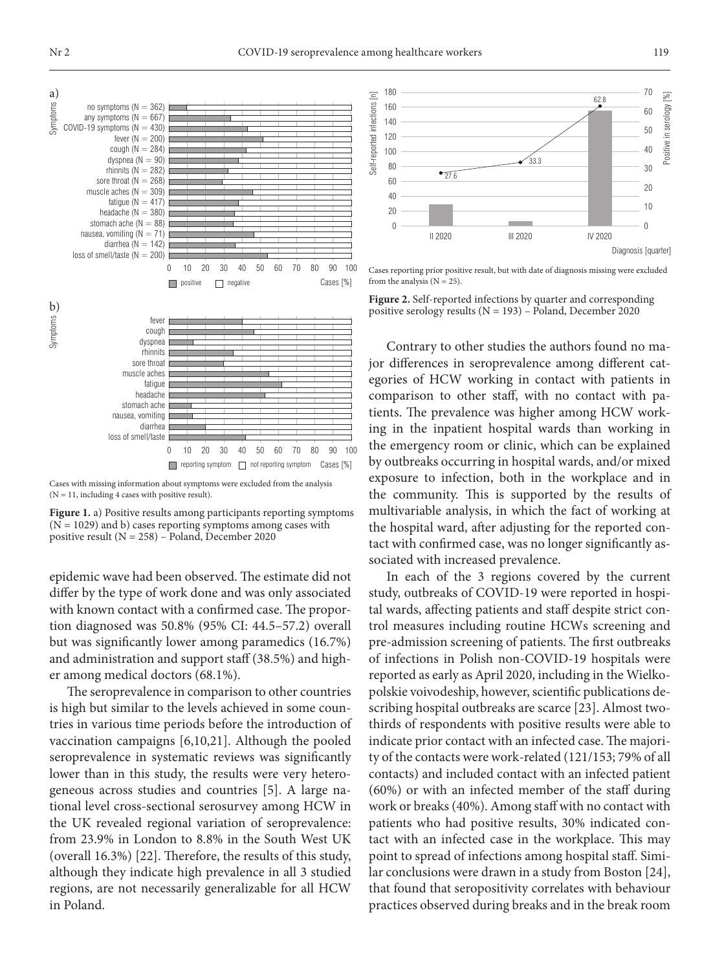

Cases with missing information about symptoms were excluded from the analysis  $(N = 11$ , including 4 cases with positive result).

**Figure 1.** a) Positive results among participants reporting symptoms  $(N = 1029)$  and b) cases reporting symptoms among cases with positive result  $(N = 258)$  – Poland, December 2020

epidemic wave had been observed. The estimate did not differ by the type of work done and was only associated with known contact with a confirmed case. The proportion diagnosed was 50.8% (95% CI: 44.5–57.2) overall but was significantly lower among paramedics (16.7%) and administration and support staff (38.5%) and higher among medical doctors (68.1%).

The seroprevalence in comparison to other countries is high but similar to the levels achieved in some countries in various time periods before the introduction of vaccination campaigns [6,10,21]. Although the pooled seroprevalence in systematic reviews was significantly lower than in this study, the results were very heterogeneous across studies and countries [5]. A large national level cross-sectional serosurvey among HCW in the UK revealed regional variation of seroprevalence: from 23.9% in London to 8.8% in the South West UK (overall 16.3%) [22]. Therefore, the results of this study, although they indicate high prevalence in all 3 studied regions, are not necessarily generalizable for all HCW in Poland.



Cases reporting prior positive result, but with date of diagnosis missing were excluded from the analysis  $(N = 25)$ .

**Figure 2.** Self-reported infections by quarter and corresponding positive serology results  $(N = 193)$  – Poland, December 2020

Contrary to other studies the authors found no major differences in seroprevalence among different categories of HCW working in contact with patients in comparison to other staff, with no contact with patients. The prevalence was higher among HCW working in the inpatient hospital wards than working in the emergency room or clinic, which can be explained by outbreaks occurring in hospital wards, and/or mixed exposure to infection, both in the workplace and in the community. This is supported by the results of multivariable analysis, in which the fact of working at the hospital ward, after adjusting for the reported contact with confirmed case, was no longer significantly associated with increased prevalence.

In each of the 3 regions covered by the current study, outbreaks of COVID-19 were reported in hospital wards, affecting patients and staff despite strict control measures including routine HCWs screening and pre-admission screening of patients. The first outbreaks of infections in Polish non-COVID-19 hospitals were reported as early as April 2020, including in the Wielkopolskie voivodeship, however, scientific publications describing hospital outbreaks are scarce [23]. Almost twothirds of respondents with positive results were able to indicate prior contact with an infected case. The majority of the contacts were work-related (121/153; 79% of all contacts) and included contact with an infected patient (60%) or with an infected member of the staff during work or breaks (40%). Among staff with no contact with patients who had positive results, 30% indicated contact with an infected case in the workplace. This may point to spread of infections among hospital staff. Similar conclusions were drawn in a study from Boston [24], that found that seropositivity correlates with behaviour practices observed during breaks and in the break room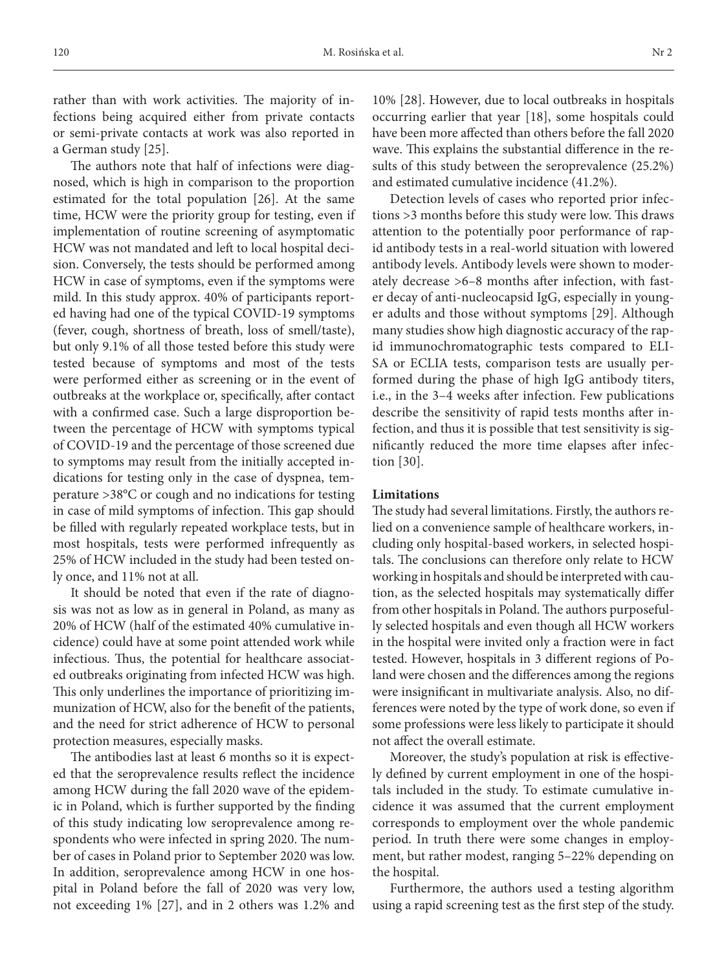rather than with work activities. The majority of infections being acquired either from private contacts or semi-private contacts at work was also reported in a German study [25].

The authors note that half of infections were diagnosed, which is high in comparison to the proportion estimated for the total population [26]. At the same time, HCW were the priority group for testing, even if implementation of routine screening of asymptomatic HCW was not mandated and left to local hospital decision. Conversely, the tests should be performed among HCW in case of symptoms, even if the symptoms were mild. In this study approx. 40% of participants reported having had one of the typical COVID-19 symptoms (fever, cough, shortness of breath, loss of smell/taste), but only 9.1% of all those tested before this study were tested because of symptoms and most of the tests were performed either as screening or in the event of outbreaks at the workplace or, specifically, after contact with a confirmed case. Such a large disproportion between the percentage of HCW with symptoms typical of COVID-19 and the percentage of those screened due to symptoms may result from the initially accepted indications for testing only in the case of dyspnea, temperature >38°C or cough and no indications for testing in case of mild symptoms of infection. This gap should be filled with regularly repeated workplace tests, but in most hospitals, tests were performed infrequently as 25% of HCW included in the study had been tested only once, and 11% not at all.

It should be noted that even if the rate of diagnosis was not as low as in general in Poland, as many as 20% of HCW (half of the estimated 40% cumulative incidence) could have at some point attended work while infectious. Thus, the potential for healthcare associated outbreaks originating from infected HCW was high. This only underlines the importance of prioritizing immunization of HCW, also for the benefit of the patients, and the need for strict adherence of HCW to personal protection measures, especially masks.

The antibodies last at least 6 months so it is expected that the seroprevalence results reflect the incidence among HCW during the fall 2020 wave of the epidemic in Poland, which is further supported by the finding of this study indicating low seroprevalence among respondents who were infected in spring 2020. The number of cases in Poland prior to September 2020 was low. In addition, seroprevalence among HCW in one hospital in Poland before the fall of 2020 was very low, not exceeding 1% [27], and in 2 others was 1.2% and 10% [28]. However, due to local outbreaks in hospitals occurring earlier that year [18], some hospitals could have been more affected than others before the fall 2020 wave. This explains the substantial difference in the results of this study between the seroprevalence (25.2%) and estimated cumulative incidence (41.2%).

Detection levels of cases who reported prior infections >3 months before this study were low. This draws attention to the potentially poor performance of rapid antibody tests in a real-world situation with lowered antibody levels. Antibody levels were shown to moderately decrease >6–8 months after infection, with faster decay of anti-nucleocapsid IgG, especially in younger adults and those without symptoms [29]. Although many studies show high diagnostic accuracy of the rapid immunochromatographic tests compared to ELI-SA or ECLIA tests, comparison tests are usually performed during the phase of high IgG antibody titers, i.e., in the 3–4 weeks after infection. Few publications describe the sensitivity of rapid tests months after infection, and thus it is possible that test sensitivity is significantly reduced the more time elapses after infection [30].

#### **Limitations**

The study had several limitations. Firstly, the authors relied on a convenience sample of healthcare workers, including only hospital-based workers, in selected hospitals. The conclusions can therefore only relate to HCW working in hospitals and should be interpreted with caution, as the selected hospitals may systematically differ from other hospitals in Poland. The authors purposefully selected hospitals and even though all HCW workers in the hospital were invited only a fraction were in fact tested. However, hospitals in 3 different regions of Poland were chosen and the differences among the regions were insignificant in multivariate analysis. Also, no differences were noted by the type of work done, so even if some professions were less likely to participate it should not affect the overall estimate.

Moreover, the study's population at risk is effectively defined by current employment in one of the hospitals included in the study. To estimate cumulative incidence it was assumed that the current employment corresponds to employment over the whole pandemic period. In truth there were some changes in employment, but rather modest, ranging 5–22% depending on the hospital.

Furthermore, the authors used a testing algorithm using a rapid screening test as the first step of the study.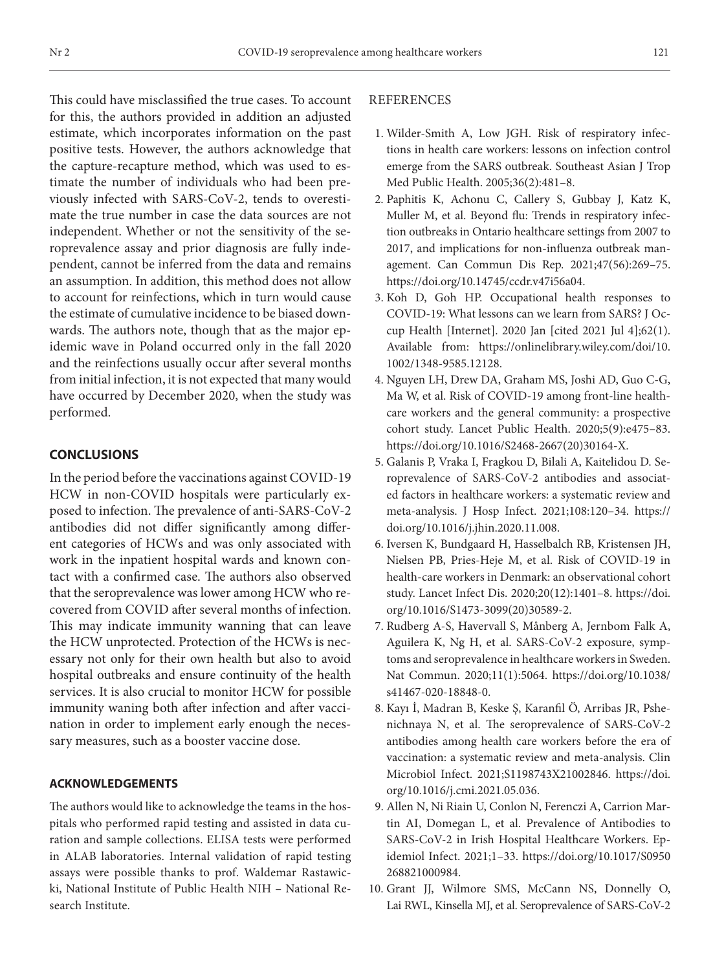This could have misclassified the true cases. To account for this, the authors provided in addition an adjusted estimate, which incorporates information on the past positive tests. However, the authors acknowledge that the capture-recapture method, which was used to estimate the number of individuals who had been previously infected with SARS-CoV-2, tends to overestimate the true number in case the data sources are not independent. Whether or not the sensitivity of the seroprevalence assay and prior diagnosis are fully independent, cannot be inferred from the data and remains an assumption. In addition, this method does not allow to account for reinfections, which in turn would cause the estimate of cumulative incidence to be biased downwards. The authors note, though that as the major epidemic wave in Poland occurred only in the fall 2020 and the reinfections usually occur after several months from initial infection, it is not expected that many would have occurred by December 2020, when the study was performed.

### **CONCLUSIONS**

In the period before the vaccinations against COVID-19 HCW in non-COVID hospitals were particularly exposed to infection. The prevalence of anti-SARS-CoV-2 antibodies did not differ significantly among different categories of HCWs and was only associated with work in the inpatient hospital wards and known contact with a confirmed case. The authors also observed that the seroprevalence was lower among HCW who recovered from COVID after several months of infection. This may indicate immunity wanning that can leave the HCW unprotected. Protection of the HCWs is necessary not only for their own health but also to avoid hospital outbreaks and ensure continuity of the health services. It is also crucial to monitor HCW for possible immunity waning both after infection and after vaccination in order to implement early enough the necessary measures, such as a booster vaccine dose.

### **ACKNOWLEDGEMENTS**

The authors would like to acknowledge the teams in the hospitals who performed rapid testing and assisted in data curation and sample collections. ELISA tests were performed in ALAB laboratories. Internal validation of rapid testing assays were possible thanks to prof. Waldemar Rastawicki, National Institute of Public Health NIH – National Research Institute.

### **REFERENCES**

- 1. Wilder-Smith A, Low JGH. Risk of respiratory infections in health care workers: lessons on infection control emerge from the SARS outbreak. Southeast Asian J Trop Med Public Health. 2005;36(2):481–8.
- 2. Paphitis K, Achonu C, Callery S, Gubbay J, Katz K, Muller M, et al. Beyond flu: Trends in respiratory infection outbreaks in Ontario healthcare settings from 2007 to 2017, and implications for non-influenza outbreak management. Can Commun Dis Rep. 2021;47(56):269–75. [https://doi.org/10.14745/ccdr.v47i56a04.](https://doi.org/10.14745/ccdr.v47i56a04)
- 3. Koh D, Goh HP. Occupational health responses to COVID‐19: What lessons can we learn from SARS? J Occup Health [Internet]. 2020 Jan [cited 2021 Jul 4];62(1). Available from: [https://onlinelibrary.wiley.com/doi/10.](https://onlinelibrary.wiley.com/doi/10.1002/1348-9585.12128) [1002/1348-9585.12128](https://onlinelibrary.wiley.com/doi/10.1002/1348-9585.12128).
- 4. Nguyen LH, Drew DA, Graham MS, Joshi AD, Guo C-G, Ma W, et al. Risk of COVID-19 among front-line healthcare workers and the general community: a prospective cohort study. Lancet Public Health. 2020;5(9):e475–83. [https://doi.org/10.1016/S2468-2667\(20\)30164-X.](https://doi.org/10.1016/S2468-2667(20)30164-X)
- 5. Galanis P, Vraka I, Fragkou D, Bilali A, Kaitelidou D. Seroprevalence of SARS-CoV-2 antibodies and associated factors in healthcare workers: a systematic review and meta-analysis. J Hosp Infect. 2021;108:120–34. [https://](https://doi.org/10.1016/j.jhin.2020.11.008) [doi.org/10.1016/j.jhin.2020.11.008](https://doi.org/10.1016/j.jhin.2020.11.008).
- 6. Iversen K, Bundgaard H, Hasselbalch RB, Kristensen JH, Nielsen PB, Pries-Heje M, et al. Risk of COVID-19 in health-care workers in Denmark: an observational cohort study. Lancet Infect Dis. 2020;20(12):1401–8. [https://doi.](https://doi.org/10.1016/S1473-3099(20)30589-2) [org/10.1016/S1473-3099\(20\)30589-2.](https://doi.org/10.1016/S1473-3099(20)30589-2)
- 7. Rudberg A-S, Havervall S, Månberg A, Jernbom Falk A, Aguilera K, Ng H, et al. SARS-CoV-2 exposure, symptoms and seroprevalence in healthcare workers in Sweden. Nat Commun. 2020;11(1):5064. [https://doi.org/10.1038/](https://doi.org/10.1038/s41467-020-18848-0) [s41467-020-18848-0.](https://doi.org/10.1038/s41467-020-18848-0)
- 8. Kayı İ, Madran B, Keske Ş, Karanfil Ö, Arribas JR, Psheniсhnaya N, et al. The seroprevalence of SARS-CoV-2 antibodies among health care workers before the era of vaccination: a systematic review and meta-analysis. Clin Microbiol Infect. 2021;S1198743X21002846. [https://doi.](https://doi.org/10.1016/j.cmi.2021.05.036) [org/10.1016/j.cmi.2021.05.036](https://doi.org/10.1016/j.cmi.2021.05.036).
- 9. Allen N, Ni Riain U, Conlon N, Ferenczi A, Carrion Martin AI, Domegan L, et al. Prevalence of Antibodies to SARS-CoV-2 in Irish Hospital Healthcare Workers. Epidemiol Infect. 2021;1–33. [https://doi.org/10.1017/S0950](https://doi.org/10.1017/S0950268821000984) [268821000984.](https://doi.org/10.1017/S0950268821000984)
- 10. Grant JJ, Wilmore SMS, McCann NS, Donnelly O, Lai RWL, Kinsella MJ, et al. Seroprevalence of SARS-CoV-2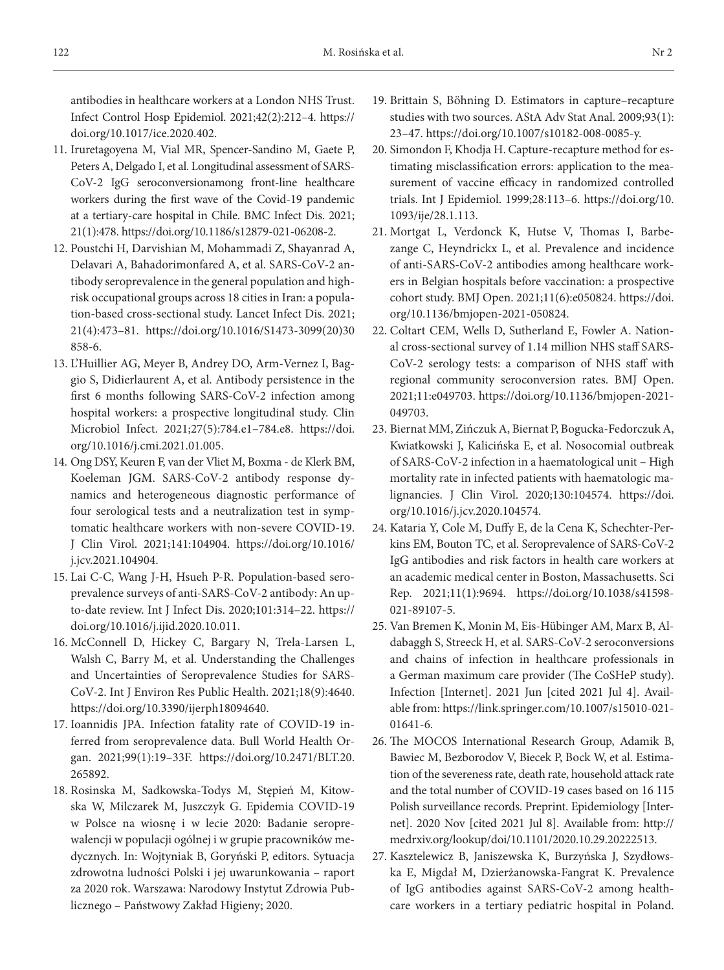antibodies in healthcare workers at a London NHS Trust. Infect Control Hosp Epidemiol. 2021;42(2):212–4. [https://](https://doi.org/10.1017/ice.2020.402) [doi.org/10.1017/ice.2020.402](https://doi.org/10.1017/ice.2020.402).

- 11. Iruretagoyena M, Vial MR, Spencer-Sandino M, Gaete P, Peters A, Delgado I, et al. Longitudinal assessment of SARS-CoV-2 IgG seroconversionamong front-line healthcare workers during the first wave of the Covid-19 pandemic at a tertiary-care hospital in Chile. BMC Infect Dis. 2021; 21(1):478. [https://doi.org/10.1186/s12879-021-06208-2.](https://doi.org/10.1186/s12879-021-06208-2)
- 12. Poustchi H, Darvishian M, Mohammadi Z, Shayanrad A, Delavari A, Bahadorimonfared A, et al. SARS-CoV-2 antibody seroprevalence in the general population and highrisk occupational groups across 18 cities in Iran: a population-based cross-sectional study. Lancet Infect Dis. 2021; 21(4):473–81. [https://doi.org/10.1016/S1473-3099\(20\)30](https://doi.org/10.1016/S1473-3099(20)30858-6) [858-6](https://doi.org/10.1016/S1473-3099(20)30858-6).
- 13. L'Huillier AG, Meyer B, Andrey DO, Arm-Vernez I, Baggio S, Didierlaurent A, et al. Antibody persistence in the first 6 months following SARS-CoV-2 infection among hospital workers: a prospective longitudinal study. Clin Microbiol Infect. 2021;27(5):784.e1–784.e8. [https://doi.](https://doi.org/10.1016/j.cmi.2021.01.005) [org/10.1016/j.cmi.2021.01.005.](https://doi.org/10.1016/j.cmi.2021.01.005)
- 14. Ong DSY, Keuren F, van der Vliet M, Boxma de Klerk BM, Koeleman JGM. SARS-CoV-2 antibody response dynamics and heterogeneous diagnostic performance of four serological tests and a neutralization test in symptomatic healthcare workers with non-severe COVID-19. J Clin Virol. 2021;141:104904. [https://doi.org/10.1016/](https://doi.org/10.1016/j.jcv.2021.104904) [j.jcv.2021.104904.](https://doi.org/10.1016/j.jcv.2021.104904)
- 15. Lai C-C, Wang J-H, Hsueh P-R. Population-based seroprevalence surveys of anti-SARS-CoV-2 antibody: An upto-date review. Int J Infect Dis. 2020;101:314–22. [https://](https://doi.org/10.1016/j.ijid.2020.10.011) [doi.org/10.1016/j.ijid.2020.10.011.](https://doi.org/10.1016/j.ijid.2020.10.011)
- 16. McConnell D, Hickey C, Bargary N, Trela-Larsen L, Walsh C, Barry M, et al. Understanding the Challenges and Uncertainties of Seroprevalence Studies for SARS-CoV-2. Int J Environ Res Public Health. 2021;18(9):4640. [https://doi.org/10.3390/ijerph18094640.](https://doi.org/10.3390/ijerph18094640)
- 17. Ioannidis JPA. Infection fatality rate of COVID-19 inferred from seroprevalence data. Bull World Health Organ. 2021;99(1):19–33F. [https://doi.org/10.2471/BLT.20.](https://doi.org/10.2471/BLT.20.265892) [265892](https://doi.org/10.2471/BLT.20.265892).
- 18. Rosinska M, Sadkowska-Todys M, Stępień M, Kitowska W, Milczarek M, Juszczyk G. Epidemia COVID-19 w Polsce na wiosnę i w lecie 2020: Badanie seroprewalencji w populacji ogólnej i w grupie pracowników medycznych. In: Wojtyniak B, Goryński P, editors. Sytuacja zdrowotna ludności Polski i jej uwarunkowania – raport za 2020 rok. Warszawa: Narodowy Instytut Zdrowia Publicznego – Państwowy Zakład Higieny; 2020.
- 19. Brittain S, Böhning D. Estimators in capture–recapture studies with two sources. AStA Adv Stat Anal. 2009;93(1): 23–47. [https://doi.org/10.1007/s10182-008-0085-y.](https://doi.org/10.1007/s10182-008-0085-y)
- 20. Simondon F, Khodja H. Capture-recapture method for estimating misclassification errors: application to the measurement of vaccine efficacy in randomized controlled trials. Int J Epidemiol. 1999;28:113–6. [https://doi.org/10.](https://doi.org/10.1093/ije/28.1.113) [1093/ije/28.1.113.](https://doi.org/10.1093/ije/28.1.113)
- 21. Mortgat L, Verdonck K, Hutse V, Thomas I, Barbezange C, Heyndrickx L, et al. Prevalence and incidence of anti-SARS-CoV-2 antibodies among healthcare workers in Belgian hospitals before vaccination: a prospective cohort study. BMJ Open. 2021;11(6):e050824. [https://doi.](https://doi.org/10.1136/bmjopen-2021-050824) [org/10.1136/bmjopen-2021-050824.](https://doi.org/10.1136/bmjopen-2021-050824)
- 22. Coltart CEM, Wells D, Sutherland E, Fowler A. National cross-sectional survey of 1.14 million NHS staff SARS-CoV-2 serology tests: a comparison of NHS staff with regional community seroconversion rates. BMJ Open. 2021;11:e049703. [https://doi.org/10.1136/bmjopen-2021-](https://doi.org/10.1136/bmjopen-2021-049703) [049703](https://doi.org/10.1136/bmjopen-2021-049703).
- 23. Biernat MM, Zińczuk A, Biernat P, Bogucka-Fedorczuk A, Kwiatkowski J, Kalicińska E, et al. Nosocomial outbreak of SARS-CoV-2 infection in a haematological unit – High mortality rate in infected patients with haematologic malignancies. J Clin Virol. 2020;130:104574. [https://doi.](https://doi.org/10.1016/j.jcv.2020.104574) [org/10.1016/j.jcv.2020.104574](https://doi.org/10.1016/j.jcv.2020.104574).
- 24. Kataria Y, Cole M, Duffy E, de la Cena K, Schechter-Perkins EM, Bouton TC, et al. Seroprevalence of SARS-CoV-2 IgG antibodies and risk factors in health care workers at an academic medical center in Boston, Massachusetts. Sci Rep. 2021;11(1):9694. [https://doi.org/10.1038/s41598-](https://doi.org/10.1038/s41598-021-89107-5) [021-89107-5.](https://doi.org/10.1038/s41598-021-89107-5)
- 25. Van Bremen K, Monin M, Eis-Hübinger AM, Marx B, Aldabaggh S, Streeck H, et al. SARS-CoV-2 seroconversions and chains of infection in healthcare professionals in a German maximum care provider (The CoSHeP study). Infection [Internet]. 2021 Jun [cited 2021 Jul 4]. Available from: [https://link.springer.com/10.1007/s15010-021-](https://link.springer.com/10.1007/s15010-021-01641-6) [01641-6.](https://link.springer.com/10.1007/s15010-021-01641-6)
- 26. The MOCOS International Research Group, Adamik B, Bawiec M, Bezborodov V, Biecek P, Bock W, et al. Estimation of the severeness rate, death rate, household attack rate and the total number of COVID-19 cases based on 16 115 Polish surveillance records. Preprint. Epidemiology [Internet]. 2020 Nov [cited 2021 Jul 8]. Available from: [http://](http://medrxiv.org/lookup/doi/10.1101/2020.10.29.20222513) [medrxiv.org/lookup/doi/10.1101/2020.10.29.20222513.](http://medrxiv.org/lookup/doi/10.1101/2020.10.29.20222513)
- 27. Kasztelewicz B, Janiszewska K, Burzyńska J, Szydłowska E, Migdał M, Dzierżanowska-Fangrat K. Prevalence of IgG antibodies against SARS-CoV-2 among healthcare workers in a tertiary pediatric hospital in Poland.